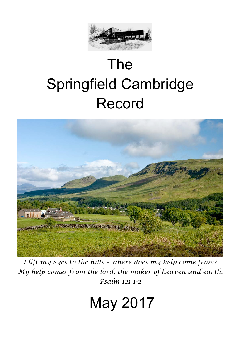

# The Springfield Cambridge Record



*I lift my eyes to the hills – where does my help come from? My help comes from the lord, the maker of heaven and earth. Psalm 121 1-2*

## May 2017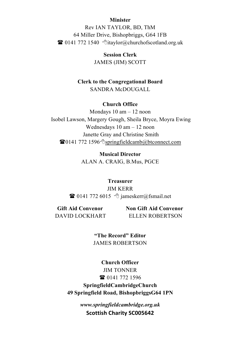#### **Minister**

Rev IAN TAYLOR, BD, ThM 64 Miller Drive, Bishopbriggs, G64 1FB  $\bullet$  0141 772 1540  $\bullet$ itaylor@churchofscotland.org.uk

> **Session Clerk** JAMES (JIM) SCOTT

#### **Clerk to the Congregational Board** SANDRA McDOUGALL

#### **Church Office**

Mondays 10 am – 12 noon Isobel Lawson, Margery Gough, Sheila Bryce, Moyra Ewing Wednesdays 10 am – 12 noon Janette Gray and Christine Smith  $\mathbf{\widehat{E}}$ 0141 772 1596 <sup>o</sup>springfieldcamb@btconnect.com

> **Musical Director** ALAN A. CRAIG, B.Mus, PGCE

**Treasurer** JIM KERR **T** 0141 772 6015  $\Diamond$  jameskerr@fsmail.net

**Gift Aid Convenor Non Gift Aid Convenor** DAVID LOCKHART ELLEN ROBERTSON

> **"The Record" Editor** JAMES ROBERTSON

**Church Officer** JIM TONNER **雷** 0141 772 1596 **SpringfieldCambridgeChurch 49 Springfield Road, BishopbriggsG64 1PN**

> *www.springfieldcambridge.org.uk* **Scottish Charity SC005642**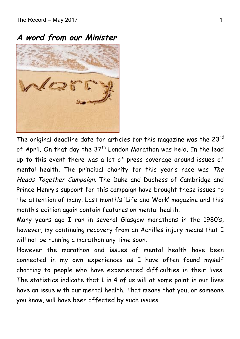**A word from our Minister** 



The original deadline date for articles for this magazine was the 23rd of April. On that day the  $37<sup>th</sup>$  London Marathon was held. In the lead up to this event there was a lot of press coverage around issues of mental health. The principal charity for this year's race was The Heads Together Campaign. The Duke and Duchess of Cambridge and Prince Henry's support for this campaign have brought these issues to the attention of many. Last month's 'Life and Work' magazine and this month's edition again contain features on mental health.

Many years ago I ran in several Glasgow marathons in the 1980's, however, my continuing recovery from an Achilles injury means that I will not be running a marathon any time soon.

However the marathon and issues of mental health have been connected in my own experiences as I have often found myself chatting to people who have experienced difficulties in their lives. The statistics indicate that 1 in 4 of us will at some point in our lives have an issue with our mental health. That means that you, or someone you know, will have been affected by such issues.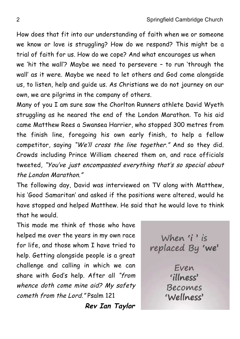How does that fit into our understanding of faith when we or someone we know or love is struggling? How do we respond? This might be a trial of faith for us. How do we cope? And what encourages us when we 'hit the wall'? Maybe we need to persevere – to run 'through the wall' as it were. Maybe we need to let others and God come alongside us, to listen, help and guide us. As Christians we do not journey on our own, we are pilgrims in the company of others.

Many of you I am sure saw the Chorlton Runners athlete David Wyeth struggling as he neared the end of the London Marathon. To his aid came Matthew Rees a Swansea Harrier, who stopped 300 metres from the finish line, foregoing his own early finish, to help a fellow competitor, saying "We'll cross the line together." And so they did. Crowds including Prince William cheered them on, and race officials tweeted, "You've just encompassed everything that's so special about the London Marathon."

The following day, David was interviewed on TV along with Matthew, his 'Good Samaritan' and asked if the positions were altered, would he have stopped and helped Matthew. He said that he would love to think that he would.

This made me think of those who have helped me over the years in my own race for life, and those whom I have tried to help. Getting alongside people is a great challenge and calling in which we can share with God's help. After all "from whence doth come mine aid? My safety cometh from the Lord." Psalm 121

 **Rev Ian Taylor**

When 'i' is replaced By 'we' Even 'illness' Becomes 'Wellness'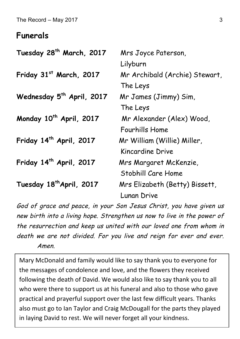#### **Funerals**

| Tuesday 28 <sup>th</sup> March, 2017  | Mrs Joyce Paterson,            |  |
|---------------------------------------|--------------------------------|--|
|                                       | Lilyburn                       |  |
| Friday 31st March, 2017               | Mr Archibald (Archie) Stewart, |  |
|                                       | The Leys                       |  |
| Wednesday 5 <sup>th</sup> April, 2017 | Mr James (Jimmy) Sim,          |  |
|                                       | The Leys                       |  |
| Monday 10 <sup>th</sup> April, 2017   | Mr Alexander (Alex) Wood,      |  |
|                                       | Fourhills Home                 |  |
| Friday 14 <sup>th</sup> April, 2017   | Mr William (Willie) Miller,    |  |
|                                       | Kincardine Drive               |  |
| Friday 14 <sup>th</sup> April, 2017   | Mrs Margaret McKenzie,         |  |
|                                       | Stobhill Care Home             |  |
| Tuesday 18 <sup>th</sup> April, 2017  | Mrs Elizabeth (Betty) Bissett, |  |
|                                       | <b>Lunan Drive</b>             |  |

God of grace and peace, in your Son Jesus Christ, you have given us new birth into a living hope. Strengthen us now to live in the power of the resurrection and keep us united with our loved one from whom in death we are not divided. For you live and reign for ever and ever. Amen.

Mary McDonald and family would like to say thank you to everyone for the messages of condolence and love, and the flowers they received following the death of David. We would also like to say thank you to all who were there to support us at his funeral and also to those who gave practical and prayerful support over the last few difficult years. Thanks also must go to Ian Taylor and Craig McDougall for the parts they played in laying David to rest. We will never forget all your kindness.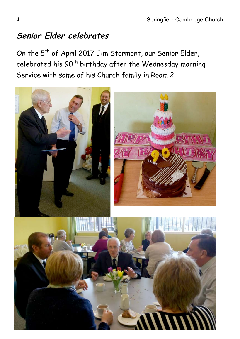## **Senior Elder celebrates**

On the 5<sup>th</sup> of April 2017 Jim Stormont, our Senior Elder, celebrated his 90<sup>th</sup> birthday after the Wednesday morning Service with some of his Church family in Room 2.

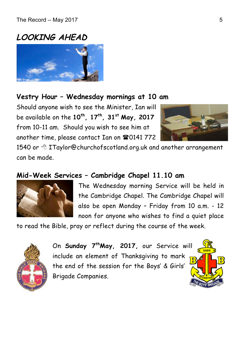## **LOOKING AHEAD**



#### **Vestry Hour – Wednesday mornings at 10 am**

Should anyone wish to see the Minister, Ian will be available on the **10th, 17th, 31st May, 2017**  from 10-11 am. Should you wish to see him at another time, please contact Ian on  $\mathbf{\mathfrak{B}}0141$  772



1540 or  $\oplus$  ITaylor@churchofscotland.org.uk and another arrangement can be made.

#### **Mid-Week Services – Cambridge Chapel 11.10 am**



The Wednesday morning Service will be held in the Cambridge Chapel. The Cambridge Chapel will also be open Monday – Friday from 10 a.m. - 12 noon for anyone who wishes to find a quiet place

to read the Bible, pray or reflect during the course of the week.



On **Sunday 7thMay, 2017,** our Service will include an element of Thanksgiving to mark the end of the session for the Boys' & Girls' Brigade Companies.

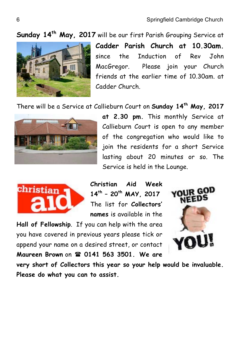**Sunday 14th May, 2017** will be our first Parish Grouping Service at



**Cadder Parish Church at 10.30am.** since the Induction of Rev John MacGregor. Please join your Church friends at the earlier time of 10.30am. at Cadder Church.

There will be a Service at Callieburn Court on **Sunday 14th May, 2017** 



**at 2.30 pm.** This monthly Service at Callieburn Court is open to any member of the congregation who would like to join the residents for a short Service lasting about 20 minutes or so. The Service is held in the Lounge.



**Christian Aid Week 14th – 20th MAY, 2017** The list for **Collectors' names** is available in the

**Hall of Fellowship**. If you can help with the area you have covered in previous years please tick or append your name on a desired street, or contact **Maureen Brown** on ( **0141 563 3501. We are** 



**very short of Collectors this year so your help would be invaluable. Please do what you can to assist.**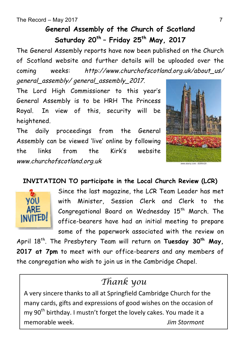## **General Assembly of the Church of Scotland Saturday 20th – Friday 25th May, 2017**

The General Assembly reports have now been published on the Church of Scotland website and further details will be uploaded over the coming weeks: http://www.churchofscotland.org.uk/about\_us/ general\_assembly/ general\_assembly\_2017.

The Lord High Commissioner to this year's General Assembly is to be HRH The Princess Royal. In view of this, security will be heightened.

The daily proceedings from the General Assembly can be viewed 'live' online by following the links from the Kirk's website www.churchofscotland.org.uk



#### **INVITATION TO participate in the Local Church Review (LCR)**



Since the last magazine, the LCR Team Leader has met with Minister, Session Clerk and Clerk to the Congregational Board on Wednesday 15<sup>th</sup> March. The office-bearers have had an initial meeting to prepare some of the paperwork associated with the review on

April 18th. The Presbytery Team will return on **Tuesday 30th May, 2017 at 7pm** to meet with our office-bearers and any members of the congregation who wish to join us in the Cambridge Chapel.

## *Thank you*

A very sincere thanks to all at Springfield Cambridge Church for the many cards, gifts and expressions of good wishes on the occasion of my 90<sup>th</sup> birthday. I mustn't forget the lovely cakes. You made it a memorable week. *Jim Stormont*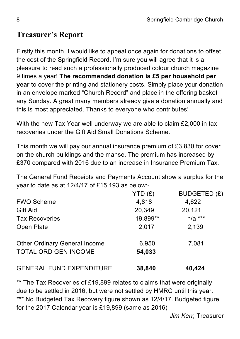## **Treasurer's Report**

Firstly this month, I would like to appeal once again for donations to offset the cost of the Springfield Record. I'm sure you will agree that it is a pleasure to read such a professionally produced colour church magazine 9 times a year! **The recommended donation is £5 per household per year** to cover the printing and stationery costs. Simply place your donation in an envelope marked "Church Record" and place in the offering basket any Sunday. A great many members already give a donation annually and this is most appreciated. Thanks to everyone who contributes!

With the new Tax Year well underway we are able to claim £2,000 in tax recoveries under the Gift Aid Small Donations Scheme.

This month we will pay our annual insurance premium of £3,830 for cover on the church buildings and the manse. The premium has increased by £370 compared with 2016 due to an increase in Insurance Premium Tax.

The General Fund Receipts and Payments Account show a surplus for the year to date as at 12/4/17 of £15,193 as below:-

|                                      | YTD(E)   | BUDGETED (£) |
|--------------------------------------|----------|--------------|
| <b>FWO Scheme</b>                    | 4,818    | 4,622        |
| Gift Aid                             | 20,349   | 20,121       |
| <b>Tax Recoveries</b>                | 19,899** | $n/a$ ***    |
| Open Plate                           | 2,017    | 2,139        |
| <b>Other Ordinary General Income</b> | 6,950    | 7,081        |
| <b>TOTAL ORD GEN INCOME</b>          | 54,033   |              |
| <b>GENERAL FUND EXPENDITURE</b>      | 38,840   | 40,424       |

\*\* The Tax Recoveries of £19,899 relates to claims that were originally due to be settled in 2016, but were not settled by HMRC until this year. \*\*\* No Budgeted Tax Recovery figure shown as 12/4/17. Budgeted figure for the 2017 Calendar year is £19,899 (same as 2016)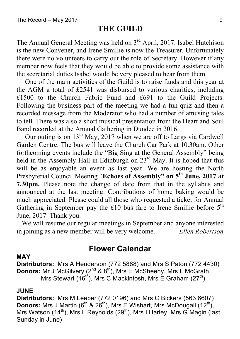#### **THE GUILD**

The Annual General Meeting was held on  $3<sup>rd</sup>$  April, 2017. Isabel Hutchison is the new Convener, and Irene Smillie is now the Treasurer. Unfortunately there were no volunteers to carry out the role of Secretary. However if any member now feels that they would be able to provide some assistance with the secretarial duties Isabel would be very pleased to hear from them.

 One of the main activities of the Guild is to raise funds and this year at the AGM a total of £2541 was disbursed to various charities, including £1500 to the Church Fabric Fund and £691 to the Guild Projects. Following the business part of the meeting we had a fun quiz and then a recorded message from the Moderator who had a number of amusing tales to tell. There was also a short musical presentation from the Heart and Soul Band recorded at the Annual Gathering in Dundee in 2016.

Our outing is on  $13<sup>th</sup>$  May, 2017 when we are off to Largs via Cardwell Garden Centre. The bus will leave the Church Car Park at 10.30am. Other forthcoming events include the "Big Sing at the General Assembly" being held in the Assembly Hall in Edinburgh on 23<sup>rd</sup> May. It is hoped that this will be as enjoyable an event as last year. We are hosting the North Presbyterial Council Meeting "Echoes of Assembly" on 5<sup>th</sup> June, 2017 at **7.30pm.** Please note the change of date from that in the syllabus and announced at the last meeting. Contributions of home baking would be much appreciated. Please could all those who requested a ticket for Annual Gathering in September pay the £10 bus fare to Irene Smillie before  $5<sup>th</sup>$ June, 2017. Thank you.

 We will resume our regular meetings in September and anyone interested in joining as a new member will be very welcome. *Ellen Robertson*

#### **Flower Calendar**

#### **MAY**

**Distributors:** Mrs A Henderson (772 5888) and Mrs S Paton (772 4430) **Donors:** Mr J McGilvery (2<sup>nd</sup> & 8<sup>th</sup>), Mrs E McSheehy, Mrs L McGrath, Mrs Stewart (16<sup>th</sup>), Mrs C Mackintosh, Mrs E Graham (27<sup>th</sup>)

#### **JUNE**

**Distributors:** Mrs M Leeper (772 0196) and Mrs C Bickers (563 6607) **Donors:** Mrs J Martin (6<sup>th</sup> & 26<sup>th</sup>), Mrs E Wishart, Mrs McDougall (12<sup>th</sup>), Mrs Watson (14<sup>th</sup>), Mrs L Reynolds (29<sup>th</sup>), Mrs I Harley, Mrs G Magin (last Sunday in June)